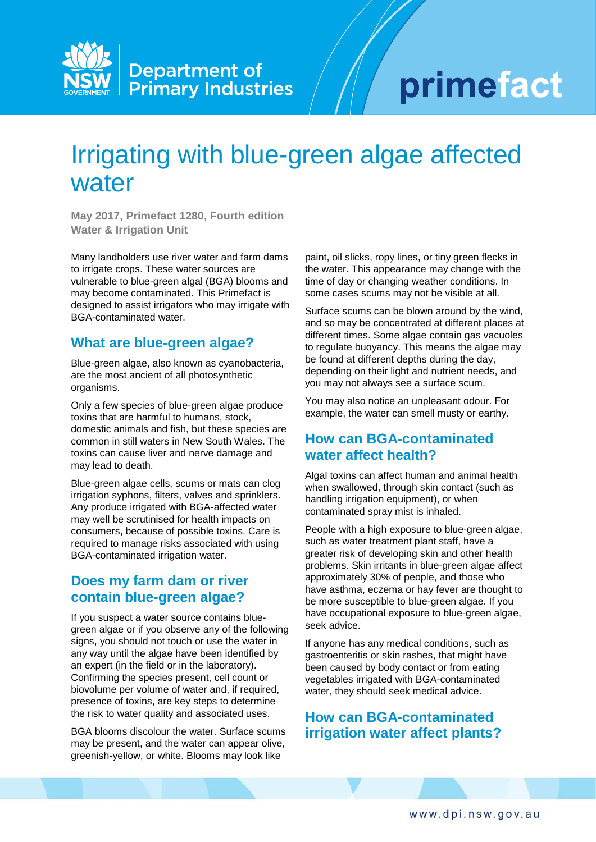

# primefact

# Irrigating with blue-green algae affected water

**May 2017, Primefact 1280, Fourth edition Water & Irrigation Unit**

Many landholders use river water and farm dams to irrigate crops. These water sources are vulnerable to blue-green algal (BGA) blooms and may become contaminated. This Primefact is designed to assist irrigators who may irrigate with BGA-contaminated water.

#### **What are blue-green algae?**

Blue-green algae, also known as cyanobacteria, are the most ancient of all photosynthetic organisms.

Only a few species of blue-green algae produce toxins that are harmful to humans, stock, domestic animals and fish, but these species are common in still waters in New South Wales. The toxins can cause liver and nerve damage and may lead to death.

Blue-green algae cells, scums or mats can clog irrigation syphons, filters, valves and sprinklers. Any produce irrigated with BGA-affected water may well be scrutinised for health impacts on consumers, because of possible toxins. Care is required to manage risks associated with using BGA-contaminated irrigation water.

# **Does my farm dam or river contain blue-green algae?**

If you suspect a water source contains bluegreen algae or if you observe any of the following signs, you should not touch or use the water in any way until the algae have been identified by an expert (in the field or in the laboratory). Confirming the species present, cell count or biovolume per volume of water and, if required, presence of toxins, are key steps to determine the risk to water quality and associated uses.

BGA blooms discolour the water. Surface scums may be present, and the water can appear olive, greenish-yellow, or white. Blooms may look like

paint, oil slicks, ropy lines, or tiny green flecks in the water. This appearance may change with the time of day or changing weather conditions. In some cases scums may not be visible at all.

Surface scums can be blown around by the wind, and so may be concentrated at different places at different times. Some algae contain gas vacuoles to regulate buoyancy. This means the algae may be found at different depths during the day, depending on their light and nutrient needs, and you may not always see a surface scum.

You may also notice an unpleasant odour. For example, the water can smell musty or earthy.

## **How can BGA-contaminated water affect health?**

Algal toxins can affect human and animal health when swallowed, through skin contact (such as handling irrigation equipment), or when contaminated spray mist is inhaled.

People with a high exposure to blue-green algae, such as water treatment plant staff, have a greater risk of developing skin and other health problems. Skin irritants in blue-green algae affect approximately 30% of people, and those who have asthma, eczema or hay fever are thought to be more susceptible to blue-green algae. If you have occupational exposure to blue-green algae, seek advice.

If anyone has any medical conditions, such as gastroenteritis or skin rashes, that might have been caused by body contact or from eating vegetables irrigated with BGA-contaminated water, they should seek medical advice.

# **How can BGA-contaminated irrigation water affect plants?**

www.dpi.nsw.gov.au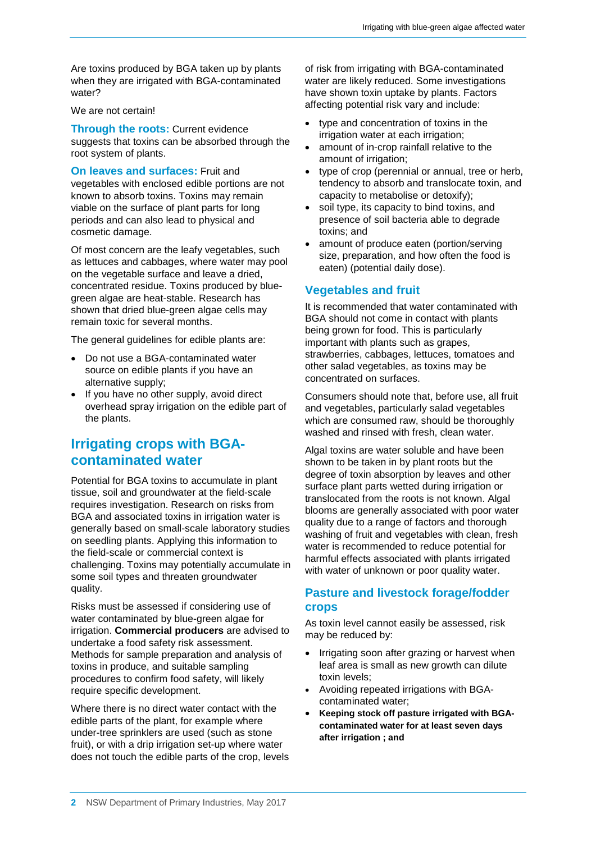Are toxins produced by BGA taken up by plants when they are irrigated with BGA-contaminated water?

We are not certain!

**Through the roots:** Current evidence suggests that toxins can be absorbed through the root system of plants.

**On leaves and surfaces:** Fruit and vegetables with enclosed edible portions are not

known to absorb toxins. Toxins may remain viable on the surface of plant parts for long periods and can also lead to physical and cosmetic damage.

Of most concern are the leafy vegetables, such as lettuces and cabbages, where water may pool on the vegetable surface and leave a dried, concentrated residue. Toxins produced by bluegreen algae are heat-stable. Research has shown that dried blue-green algae cells may remain toxic for several months.

The general guidelines for edible plants are:

- Do not use a BGA-contaminated water source on edible plants if you have an alternative supply;
- If you have no other supply, avoid direct overhead spray irrigation on the edible part of the plants.

# **Irrigating crops with BGAcontaminated water**

Potential for BGA toxins to accumulate in plant tissue, soil and groundwater at the field-scale requires investigation. Research on risks from BGA and associated toxins in irrigation water is generally based on small-scale laboratory studies on seedling plants. Applying this information to the field-scale or commercial context is challenging. Toxins may potentially accumulate in some soil types and threaten groundwater quality.

Risks must be assessed if considering use of water contaminated by blue-green algae for irrigation. **Commercial producers** are advised to undertake a food safety risk assessment. Methods for sample preparation and analysis of toxins in produce, and suitable sampling procedures to confirm food safety, will likely require specific development.

Where there is no direct water contact with the edible parts of the plant, for example where under-tree sprinklers are used (such as stone fruit), or with a drip irrigation set-up where water does not touch the edible parts of the crop, levels of risk from irrigating with BGA-contaminated water are likely reduced. Some investigations have shown toxin uptake by plants. Factors affecting potential risk vary and include:

- type and concentration of toxins in the irrigation water at each irrigation;
- amount of in-crop rainfall relative to the amount of irrigation;
- type of crop (perennial or annual, tree or herb, tendency to absorb and translocate toxin, and capacity to metabolise or detoxify);
- soil type, its capacity to bind toxins, and presence of soil bacteria able to degrade toxins; and
- amount of produce eaten (portion/serving size, preparation, and how often the food is eaten) (potential daily dose).

#### **Vegetables and fruit**

It is recommended that water contaminated with BGA should not come in contact with plants being grown for food. This is particularly important with plants such as grapes, strawberries, cabbages, lettuces, tomatoes and other salad vegetables, as toxins may be concentrated on surfaces.

Consumers should note that, before use, all fruit and vegetables, particularly salad vegetables which are consumed raw, should be thoroughly washed and rinsed with fresh, clean water.

Algal toxins are water soluble and have been shown to be taken in by plant roots but the degree of toxin absorption by leaves and other surface plant parts wetted during irrigation or translocated from the roots is not known. Algal blooms are generally associated with poor water quality due to a range of factors and thorough washing of fruit and vegetables with clean, fresh water is recommended to reduce potential for harmful effects associated with plants irrigated with water of unknown or poor quality water.

#### **Pasture and livestock forage/fodder crops**

As toxin level cannot easily be assessed, risk may be reduced by:

- Irrigating soon after grazing or harvest when leaf area is small as new growth can dilute toxin levels;
- Avoiding repeated irrigations with BGAcontaminated water;
- **Keeping stock off pasture irrigated with BGAcontaminated water for at least seven days after irrigation ; and**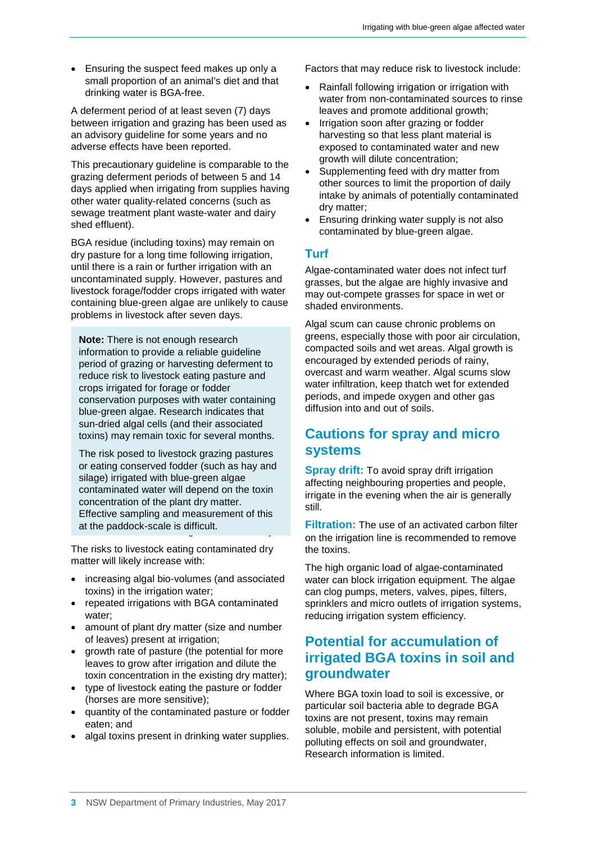• Ensuring the suspect feed makes up only a small proportion of an animal's diet and that drinking water is BGA-free.

A deferment period of at least seven (7) days between irrigation and grazing has been used as an advisory guideline for some years and no adverse effects have been reported.

This precautionary guideline is comparable to the grazing deferment periods of between 5 and 14 days applied when irrigating from supplies having other water quality-related concerns (such as sewage treatment plant waste-water and dairy shed effluent).

BGA residue (including toxins) may remain on dry pasture for a long time following irrigation, until there is a rain or further irrigation with an uncontaminated supply. However, pastures and livestock forage/fodder crops irrigated with water containing blue-green algae are unlikely to cause problems in livestock after seven days.

**Note:** There is not enough research information to provide a reliable guideline period of grazing or harvesting deferment to reduce risk to livestock eating pasture and crops irrigated for forage or fodder conservation purposes with water containing blue-green algae. Research indicates that sun-dried algal cells (and their associated toxins) may remain toxic for several months.

at the paddock-scale is difficult. The risk posed to livestock grazing pastures or eating conserved fodder (such as hay and silage) irrigated with blue-green algae contaminated water will depend on the toxin concentration of the plant dry matter. Effective sampling and measurement of this

The risks to livestock eating contaminated dry matter will likely increase with:

- increasing algal bio-volumes (and associated toxins) in the irrigation water;
- repeated irrigations with BGA contaminated water;
- amount of plant dry matter (size and number of leaves) present at irrigation;
- growth rate of pasture (the potential for more leaves to grow after irrigation and dilute the toxin concentration in the existing dry matter);
- type of livestock eating the pasture or fodder (horses are more sensitive);
- quantity of the contaminated pasture or fodder eaten; and
- algal toxins present in drinking water supplies.

Factors that may reduce risk to livestock include:

- Rainfall following irrigation or irrigation with water from non-contaminated sources to rinse leaves and promote additional growth;
- Irrigation soon after grazing or fodder harvesting so that less plant material is exposed to contaminated water and new growth will dilute concentration;
- Supplementing feed with dry matter from other sources to limit the proportion of daily intake by animals of potentially contaminated dry matter;
- Ensuring drinking water supply is not also contaminated by blue-green algae.

#### **Turf**

Algae-contaminated water does not infect turf grasses, but the algae are highly invasive and may out-compete grasses for space in wet or shaded environments.

Algal scum can cause chronic problems on greens, especially those with poor air circulation, compacted soils and wet areas. Algal growth is encouraged by extended periods of rainy, overcast and warm weather. Algal scums slow water infiltration, keep thatch wet for extended periods, and impede oxygen and other gas diffusion into and out of soils.

# **Cautions for spray and micro systems**

**Spray drift:** To avoid spray drift irrigation affecting neighbouring properties and people, irrigate in the evening when the air is generally still.

**Filtration:** The use of an activated carbon filter on the irrigation line is recommended to remove the toxins.

The high organic load of algae-contaminated water can block irrigation equipment. The algae can clog pumps, meters, valves, pipes, filters, sprinklers and micro outlets of irrigation systems, reducing irrigation system efficiency.

# **Potential for accumulation of irrigated BGA toxins in soil and groundwater**

Where BGA toxin load to soil is excessive, or particular soil bacteria able to degrade BGA toxins are not present, toxins may remain soluble, mobile and persistent, with potential polluting effects on soil and groundwater, Research information is limited.